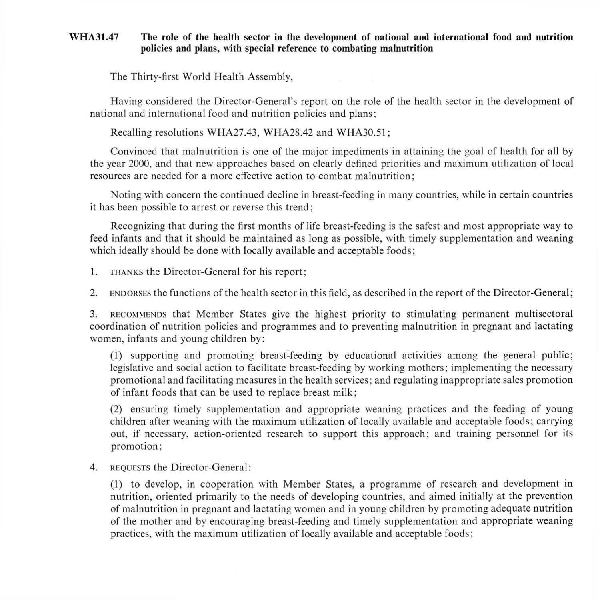## **WHA31.47 The role of the health sector in the development of national and international food and nutrition policies and plans, with special reference to combating malnutrition**

The Thirty-first World Health Assembly,

Having considered the Director-General's report on the role of the health sector in the development of national and international food and nutrition policies and plans;

Recalling resolutions WHA27.43, WHA28.42 and WHA30.51;

Convinced that malnutrition is one of the major impediments in attaining the goal of health for all by the year 2000, and that new approaches based on clearly defined priorities and maximum utilization of local resources are needed for a more effective action to combat malnutrition;

Noting with concern the continued decline in breast-feeding in many countries, while in certain countries it has been possible to arrest or reverse this trend;

Recognizing that during the first months of life breast-feeding is the safest and most appropriate way to feed infants and that it should be maintained as long as possible, with timely supplementation and weaning which ideally should be done with locally available and acceptable foods;

**1. THANKS** the Director-General for his report ;

2. **ENDORSES** the functions of the health sector in this field, as described in the report of the Director-General ;

3. **RECOMMENDS** that Member States give the highest priority to stimulating permanent multisectoral coordination of nutrition policies and programmes and to preventing malnutrition in pregnant and lactating women, infants and young children by:

(1) supporting and promoting breast-feeding by educational activities among the general public; legislative and social action to facilitate breast-feeding by working mothers ; implementing the necessary promotional and facilitating measures in the health services; and regulating inappropriate sales promotion of infant foods that can be used to replace breast milk;

(2) ensuring timely supplementation and appropriate weaning practices and the feeding of young children after weaning with the maximum utilization of locally available and acceptable foods; carrying out, if necessary, action-oriented research to support this approach; and training personnel for its promotion;

4. **REQUESTS** the Director-General:

(1) to develop, in cooperation with Member States, a programme of research and development in nutrition, oriented primarily to the needs of developing countries, and aimed initially at the prevention of malnutrition in pregnant and lactating women and in young children by promoting adequate nutrition of the mother and by encouraging breast-feeding and timely supplementation and appropriate weaning practices, with the maximum utilization of locally available and acceptable foods;